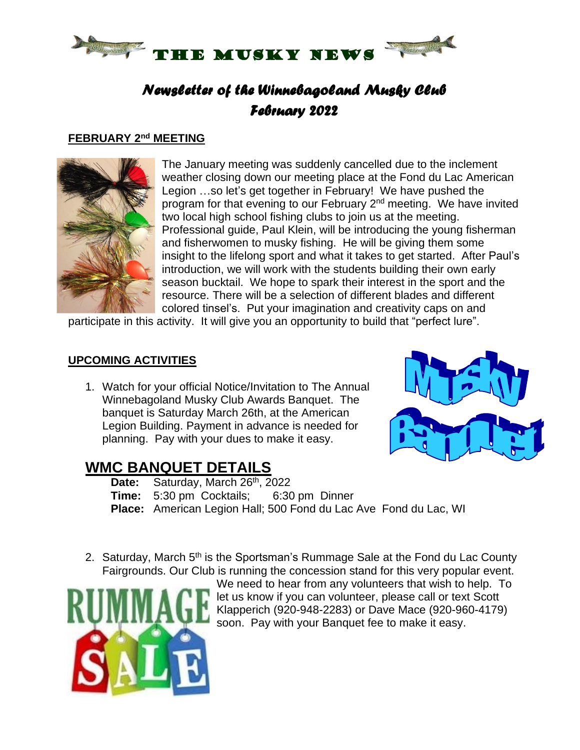

## *Newsletter of the Winnebagoland Musky Club February 2022*

#### **FEBRUARY 2 nd MEETING**



The January meeting was suddenly cancelled due to the inclement weather closing down our meeting place at the Fond du Lac American Legion …so let's get together in February! We have pushed the program for that evening to our February 2<sup>nd</sup> meeting. We have invited two local high school fishing clubs to join us at the meeting. Professional guide, Paul Klein, will be introducing the young fisherman and fisherwomen to musky fishing. He will be giving them some insight to the lifelong sport and what it takes to get started. After Paul's introduction, we will work with the students building their own early season bucktail. We hope to spark their interest in the sport and the resource. There will be a selection of different blades and different colored tinsel's. Put your imagination and creativity caps on and

participate in this activity. It will give you an opportunity to build that "perfect lure".

#### **UPCOMING ACTIVITIES**

1. Watch for your official Notice/Invitation to The Annual Winnebagoland Musky Club Awards Banquet. The banquet is Saturday March 26th, at the American Legion Building. Payment in advance is needed for planning. Pay with your dues to make it easy.



### **WMC BANQUET DETAILS**

- Date: Saturday, March 26<sup>th</sup>, 2022
- **Time:** 5:30 pm Cocktails; 6:30 pm Dinner
- **Place:** American Legion Hall; 500 Fond du Lac Ave Fond du Lac, WI
- 2. Saturday, March 5<sup>th</sup> is the Sportsman's Rummage Sale at the Fond du Lac County Fairgrounds. Our Club is running the concession stand for this very popular event.



We need to hear from any volunteers that wish to help. To let us know if you can volunteer, please call or text Scott Klapperich (920-948-2283) or Dave Mace (920-960-4179) soon. Pay with your Banquet fee to make it easy.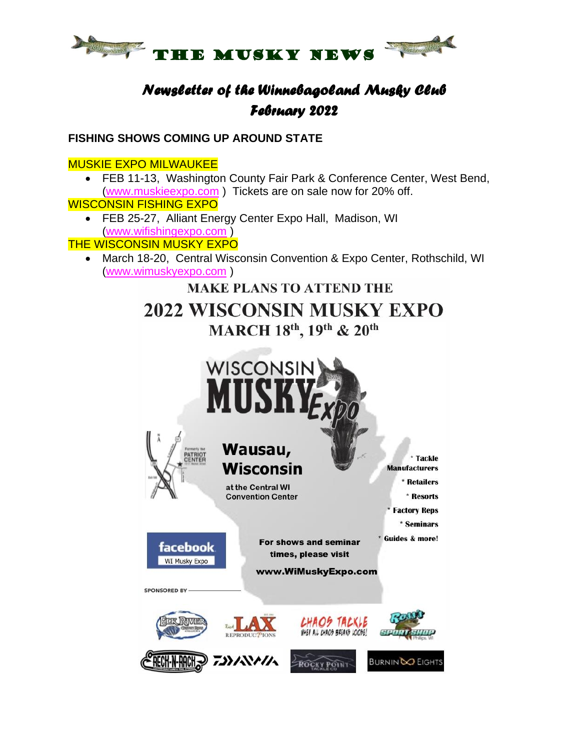

## *Newsletter of the Winnebagoland Musky Club February 2022*

#### **FISHING SHOWS COMING UP AROUND STATE**

#### MUSKIE EXPO MILWAUKEE

• FEB 11-13, Washington County Fair Park & Conference Center, West Bend, [\(www.muskieexpo.com](http://www.muskieexpo.com/) ) Tickets are on sale now for 20% off.

#### WISCONSIN FISHING EXPO

• FEB 25-27, Alliant Energy Center Expo Hall, Madison, WI [\(www.wifishingexpo.com](http://www.wifishingexpo.com/) )

**THE WISCONSIN MUSKY EXPO** 

• March 18-20, Central Wisconsin Convention & Expo Center, Rothschild, WI [\(www.wimuskyexpo.com](http://www.wimuskyexpo.com/) )

**MAKE PLANS TO ATTEND THE** 

# 2022 WISCONSIN MUSKY EXPO MARCH 18th, 19th & 20th